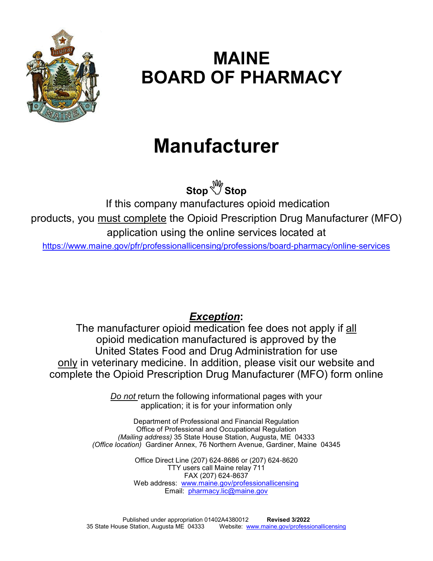

## **MAINE BOARD OF PHARMACY**

# **Manufacturer**

**StopStop**

If this company manufactures opioid medication products, you must complete the Opioid Prescription Drug Manufacturer (MFO) application using the online services located at https://www.maine.gov/pfr/professionallicensing/professions/board-pharmacy/online-services

### *Exception***:**

The manufacturer opioid medication fee does not apply if all opioid medication manufactured is approved by the United States Food and Drug Administration for use only in veterinary medicine. In addition, please visit our website and complete the Opioid Prescription Drug Manufacturer (MFO) form online

> *Do not* return the following informational pages with your application; it is for your information only

Department of Professional and Financial Regulation Office of Professional and Occupational Regulation *(Mailing address)* 35 State House Station, Augusta, ME 04333 *(Office location)* Gardiner Annex, 76 Northern Avenue, Gardiner, Maine 04345

> Office Direct Line (207) 624-8686 or (207) 624-8620 TTY users call Maine relay 711 FAX (207) 624-8637 Web address: www.maine.gov/professionallicensing Email: pharmacy.lic@maine.gov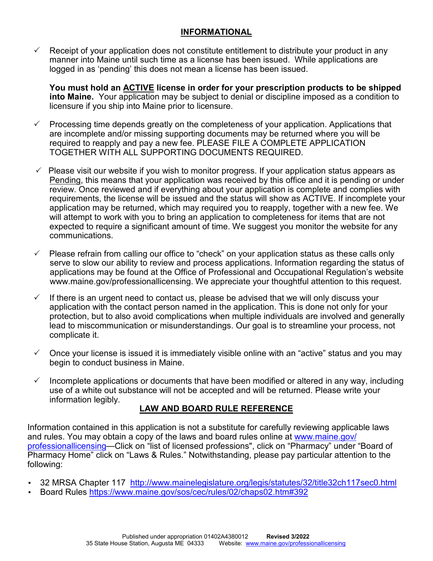#### **INFORMATIONAL**

 $\checkmark$  Receipt of your application does not constitute entitlement to distribute your product in any manner into Maine until such time as a license has been issued. While applications are logged in as 'pending' this does not mean a license has been issued.

**You must hold an ACTIVE license in order for your prescription products to be shipped into Maine.** Your application may be subject to denial or discipline imposed as a condition to licensure if you ship into Maine prior to licensure.

- $\checkmark$  Processing time depends greatly on the completeness of your application. Applications that are incomplete and/or missing supporting documents may be returned where you will be required to reapply and pay a new fee. PLEASE FILE A COMPLETE APPLICATION TOGETHER WITH ALL SUPPORTING DOCUMENTS REQUIRED.
- $\checkmark$  Please visit our website if you wish to monitor progress. If your application status appears as Pending, this means that your application was received by this office and it is pending or under review. Once reviewed and if everything about your application is complete and complies with requirements, the license will be issued and the status will show as ACTIVE. If incomplete your application may be returned, which may required you to reapply, together with a new fee. We will attempt to work with you to bring an application to completeness for items that are not expected to require a significant amount of time. We suggest you monitor the website for any communications.
- $\checkmark$  Please refrain from calling our office to "check" on your application status as these calls only serve to slow our ability to review and process applications. Information regarding the status of applications may be found at the Office of Professional and Occupational Regulation's website www.maine.gov/professionallicensing. We appreciate your thoughtful attention to this request.
- $\checkmark$  If there is an urgent need to contact us, please be advised that we will only discuss your application with the contact person named in the application. This is done not only for your protection, but to also avoid complications when multiple individuals are involved and generally lead to miscommunication or misunderstandings. Our goal is to streamline your process, not complicate it.
- $\checkmark$  Once your license is issued it is immediately visible online with an "active" status and you may begin to conduct business in Maine.
- $\checkmark$  Incomplete applications or documents that have been modified or altered in any way, including use of a white out substance will not be accepted and will be returned. Please write your information legibly.

#### **LAW AND BOARD RULE REFERENCE**

Information contained in this application is not a substitute for carefully reviewing applicable laws and rules. You may obtain a copy of the laws and board rules online at www.maine.gov/ professionallicensing—Click on "list of licensed professions", click on "Pharmacy" under "Board of Pharmacy Home" click on "Laws & Rules." Notwithstanding, please pay particular attention to the following:

- 32 MRSA Chapter 117 http://www.mainelegislature.org/legis/statutes/32/title32ch117sec0.html
- Board Rules https://www.maine.gov/sos/cec/rules/02/chaps02.htm#392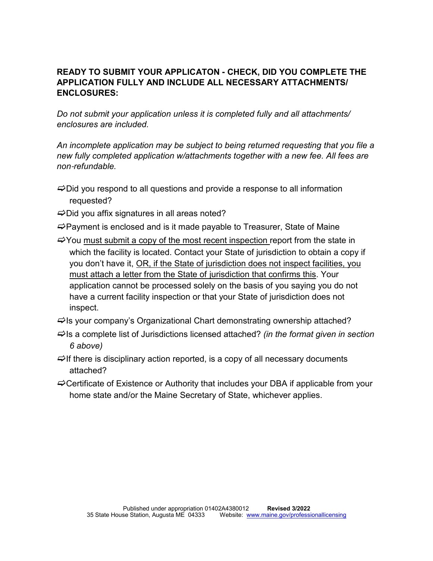#### **READY TO SUBMIT YOUR APPLICATON - CHECK, DID YOU COMPLETE THE APPLICATION FULLY AND INCLUDE ALL NECESSARY ATTACHMENTS/ ENCLOSURES:**

*Do not submit your application unless it is completed fully and all attachments/ enclosures are included.* 

*An incomplete application may be subject to being returned requesting that you file a new fully completed application w/attachments together with a new fee. All fees are non*-*refundable.* 

- $\Rightarrow$  Did you respond to all questions and provide a response to all information requested?
- $\Rightarrow$  Did you affix signatures in all areas noted?
- $\Rightarrow$  Payment is enclosed and is it made payable to Treasurer, State of Maine
- $\Rightarrow$  You must submit a copy of the most recent inspection report from the state in which the facility is located. Contact your State of jurisdiction to obtain a copy if you don't have it, OR, if the State of jurisdiction does not inspect facilities, you must attach a letter from the State of jurisdiction that confirms this. Your application cannot be processed solely on the basis of you saying you do not have a current facility inspection or that your State of jurisdiction does not inspect.
- $\Rightarrow$ Is your company's Organizational Chart demonstrating ownership attached?
- Is a complete list of Jurisdictions licensed attached? *(in the format given in section 6 above)*
- $\Rightarrow$  If there is disciplinary action reported, is a copy of all necessary documents attached?
- $\Rightarrow$  Certificate of Existence or Authority that includes your DBA if applicable from your home state and/or the Maine Secretary of State, whichever applies.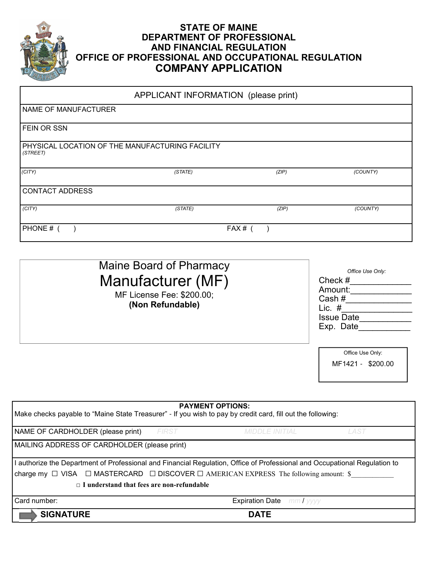

#### **STATE OF MAINE DEPARTMENT OF PROFESSIONAL AND FINANCIAL REGULATION OFFICE OF PROFESSIONAL AND OCCUPATIONAL REGULATION COMPANY APPLICATION**

| APPLICANT INFORMATION (please print)                        |         |       |          |  |  |
|-------------------------------------------------------------|---------|-------|----------|--|--|
| NAME OF MANUFACTURER                                        |         |       |          |  |  |
| <b>FEIN OR SSN</b>                                          |         |       |          |  |  |
| PHYSICAL LOCATION OF THE MANUFACTURING FACILITY<br>(STREET) |         |       |          |  |  |
| (CITY)                                                      | (STATE) | (ZIP) | (COUNTY) |  |  |
| <b>CONTACT ADDRESS</b>                                      |         |       |          |  |  |
| (CITY)                                                      | (STATE) | (ZIP) | (COUNTY) |  |  |
| PHONE #                                                     |         | FAX#  |          |  |  |

| Maine Board of Pharmacy<br>Manufacturer (MF)<br>MF License Fee: \$200.00;<br>(Non Refundable) | Office Use Only:<br>Check #<br>Amount:<br>Cash#<br>Lic. $#$<br><b>Issue Date</b><br>Exp. Date |
|-----------------------------------------------------------------------------------------------|-----------------------------------------------------------------------------------------------|
|                                                                                               | Office Use Only:<br>MF1421 - \$200.00                                                         |

|  | <b>PAYMENT OPTIONS:</b> |  |
|--|-------------------------|--|
|  |                         |  |

| Make checks payable to "Maine State Treasurer" - If you wish to pay by credit card, fill out the following:      |                                                                                                                            |                                  |      |  |  |  |
|------------------------------------------------------------------------------------------------------------------|----------------------------------------------------------------------------------------------------------------------------|----------------------------------|------|--|--|--|
| NAME OF CARDHOLDER (please print)                                                                                | <b>FIRST</b>                                                                                                               | <b>MIDDLE INITIAL</b>            | LAST |  |  |  |
| MAILING ADDRESS OF CARDHOLDER (please print)                                                                     |                                                                                                                            |                                  |      |  |  |  |
|                                                                                                                  | I authorize the Department of Professional and Financial Regulation, Office of Professional and Occupational Regulation to |                                  |      |  |  |  |
| $\vert$ charge my $\Box$ VISA $\Box$ MASTERCARD $\Box$ DISCOVER $\Box$ AMERICAN EXPRESS The following amount: \$ |                                                                                                                            |                                  |      |  |  |  |
| $\Box$ I understand that fees are non-refundable                                                                 |                                                                                                                            |                                  |      |  |  |  |
| Card number:                                                                                                     |                                                                                                                            | <b>Expiration Date</b> mm / yyyy |      |  |  |  |
| <b>SIGNATURE</b><br><b>DATE</b>                                                                                  |                                                                                                                            |                                  |      |  |  |  |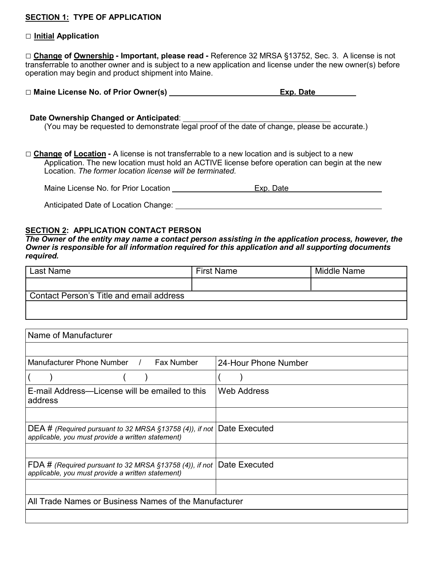#### **SECTION 1: TYPE OF APPLICATION**

#### **□ Initial Application**

**□ Change of Ownership - Important, please read -** Reference 32 MRSA §13752, Sec. 3. A license is not transferrable to another owner and is subject to a new application and license under the new owner(s) before operation may begin and product shipment into Maine.

| □ Maine License No. of Prior Owner(s)<br>Exp. Date |  |
|----------------------------------------------------|--|
|----------------------------------------------------|--|

#### **Date Ownership Changed or Anticipated**:

(You may be requested to demonstrate legal proof of the date of change, please be accurate.)

**□ Change of Location -** A license is not transferrable to a new location and is subject to a new Application. The new location must hold an ACTIVE license before operation can begin at the new Location. *The former location license will be terminated.*

Maine License No. for Prior Location **Exp. Date** Exp. Date

Anticipated Date of Location Change:

#### **SECTION 2: APPLICATION CONTACT PERSON**

*The Owner of the entity may name a contact person assisting in the application process, however, the Owner is responsible for all information required for this application and all supporting documents required.*

| Last Name                                | <b>First Name</b> | Middle Name |
|------------------------------------------|-------------------|-------------|
|                                          |                   |             |
| Contact Person's Title and email address |                   |             |
|                                          |                   |             |

| Name of Manufacturer                                                                                                       |                      |  |  |  |
|----------------------------------------------------------------------------------------------------------------------------|----------------------|--|--|--|
|                                                                                                                            |                      |  |  |  |
| Manufacturer Phone Number<br><b>Fax Number</b>                                                                             | 24-Hour Phone Number |  |  |  |
|                                                                                                                            |                      |  |  |  |
| E-mail Address—License will be emailed to this<br>address                                                                  | <b>Web Address</b>   |  |  |  |
|                                                                                                                            |                      |  |  |  |
| DEA # (Required pursuant to 32 MRSA §13758 (4)), if not Date Executed<br>applicable, you must provide a written statement) |                      |  |  |  |
|                                                                                                                            |                      |  |  |  |
| FDA # (Required pursuant to 32 MRSA $\S$ 13758 (4)), if not  <br>applicable, you must provide a written statement)         | Date Executed        |  |  |  |
|                                                                                                                            |                      |  |  |  |
| All Trade Names or Business Names of the Manufacturer                                                                      |                      |  |  |  |
|                                                                                                                            |                      |  |  |  |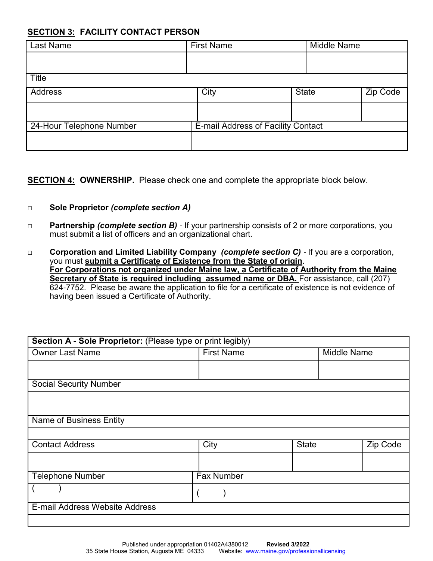#### **SECTION 3: FACILITY CONTACT PERSON**

| <b>Last Name</b>         | <b>First Name</b>                  | <b>Middle Name</b> |          |
|--------------------------|------------------------------------|--------------------|----------|
|                          |                                    |                    |          |
| Title                    |                                    |                    |          |
| <b>Address</b>           | City                               | <b>State</b>       | Zip Code |
|                          |                                    |                    |          |
| 24-Hour Telephone Number | E-mail Address of Facility Contact |                    |          |
|                          |                                    |                    |          |

**SECTION 4: OWNERSHIP.** Please check one and complete the appropriate block below.

#### □ **Sole Proprietor** *(complete section A)*

- □ **Partnership** *(complete section B)*  If your partnership consists of 2 or more corporations, you must submit a list of officers and an organizational chart.
- □ **Corporation and Limited Liability Company** *(complete section C)*  If you are a corporation, you must **submit a Certificate of Existence from the State of origin**. **For Corporations not organized under Maine law, a Certificate of Authority from the Maine Secretary of State is required including assumed name or DBA.** For assistance, call (207) 624-7752. Please be aware the application to file for a certificate of existence is not evidence of having been issued a Certificate of Authority.

| Section A - Sole Proprietor: (Please type or print legibly) |                   |              |                    |          |  |  |
|-------------------------------------------------------------|-------------------|--------------|--------------------|----------|--|--|
| <b>Owner Last Name</b>                                      | <b>First Name</b> |              | <b>Middle Name</b> |          |  |  |
|                                                             |                   |              |                    |          |  |  |
| <b>Social Security Number</b>                               |                   |              |                    |          |  |  |
|                                                             |                   |              |                    |          |  |  |
| <b>Name of Business Entity</b>                              |                   |              |                    |          |  |  |
|                                                             |                   |              |                    |          |  |  |
| <b>Contact Address</b>                                      | <b>City</b>       | <b>State</b> |                    | Zip Code |  |  |
|                                                             |                   |              |                    |          |  |  |
| <b>Telephone Number</b>                                     | Fax Number        |              |                    |          |  |  |
|                                                             |                   |              |                    |          |  |  |
| E-mail Address Website Address                              |                   |              |                    |          |  |  |
|                                                             |                   |              |                    |          |  |  |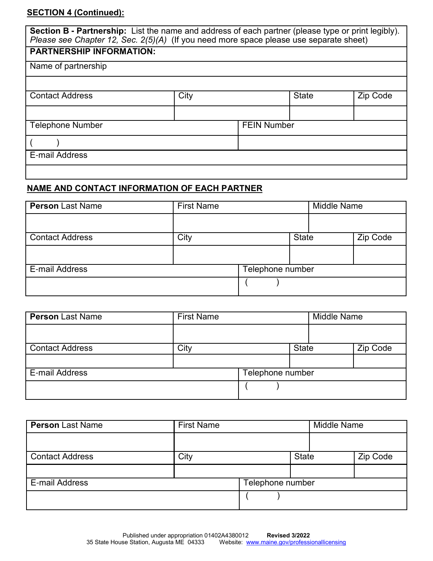#### **SECTION 4 (Continued):**

| <b>Section B - Partnership:</b> List the name and address of each partner (please type or print legibly).<br>Please see Chapter 12, Sec. 2(5)(A) (If you need more space please use separate sheet) |      |  |                    |          |  |
|-----------------------------------------------------------------------------------------------------------------------------------------------------------------------------------------------------|------|--|--------------------|----------|--|
| <b>PARTNERSHIP INFORMATION:</b>                                                                                                                                                                     |      |  |                    |          |  |
| Name of partnership                                                                                                                                                                                 |      |  |                    |          |  |
|                                                                                                                                                                                                     |      |  |                    |          |  |
| <b>Contact Address</b>                                                                                                                                                                              | City |  | <b>State</b>       | Zip Code |  |
|                                                                                                                                                                                                     |      |  |                    |          |  |
| <b>Telephone Number</b>                                                                                                                                                                             |      |  | <b>FEIN Number</b> |          |  |
|                                                                                                                                                                                                     |      |  |                    |          |  |
| E-mail Address                                                                                                                                                                                      |      |  |                    |          |  |
|                                                                                                                                                                                                     |      |  |                    |          |  |

#### **NAME AND CONTACT INFORMATION OF EACH PARTNER**

| <b>Person Last Name</b> | <b>First Name</b> |                  | <b>Middle Name</b> |  |          |
|-------------------------|-------------------|------------------|--------------------|--|----------|
|                         |                   |                  |                    |  |          |
| <b>Contact Address</b>  | City              |                  | <b>State</b>       |  | Zip Code |
|                         |                   |                  |                    |  |          |
| E-mail Address          |                   | Telephone number |                    |  |          |
|                         |                   |                  |                    |  |          |

| <b>Person Last Name</b> | <b>First Name</b> |                  |              | <b>Middle Name</b> |          |
|-------------------------|-------------------|------------------|--------------|--------------------|----------|
|                         |                   |                  |              |                    |          |
| <b>Contact Address</b>  | City              |                  | <b>State</b> |                    | Zip Code |
|                         |                   |                  |              |                    |          |
| E-mail Address          |                   | Telephone number |              |                    |          |
|                         |                   |                  |              |                    |          |

| <b>Person Last Name</b> | <b>First Name</b> |                  |              | <b>Middle Name</b> |          |
|-------------------------|-------------------|------------------|--------------|--------------------|----------|
|                         |                   |                  |              |                    |          |
| <b>Contact Address</b>  | City              |                  | <b>State</b> |                    | Zip Code |
|                         |                   |                  |              |                    |          |
| <b>E-mail Address</b>   |                   | Telephone number |              |                    |          |
|                         |                   |                  |              |                    |          |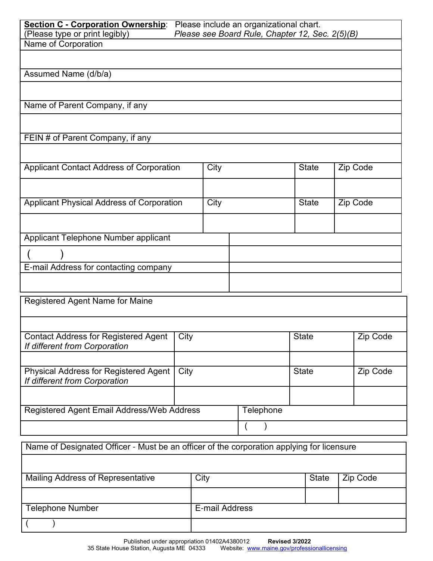| <b>Section C - Corporation Ownership:</b><br>(Please type or print legibly)               |      |      | Please include an organizational chart.<br>Please see Board Rule, Chapter 12, Sec. 2(5)(B) |              |          |
|-------------------------------------------------------------------------------------------|------|------|--------------------------------------------------------------------------------------------|--------------|----------|
| Name of Corporation                                                                       |      |      |                                                                                            |              |          |
|                                                                                           |      |      |                                                                                            |              |          |
|                                                                                           |      |      |                                                                                            |              |          |
| Assumed Name (d/b/a)                                                                      |      |      |                                                                                            |              |          |
|                                                                                           |      |      |                                                                                            |              |          |
| Name of Parent Company, if any                                                            |      |      |                                                                                            |              |          |
|                                                                                           |      |      |                                                                                            |              |          |
|                                                                                           |      |      |                                                                                            |              |          |
| FEIN # of Parent Company, if any                                                          |      |      |                                                                                            |              |          |
|                                                                                           |      |      |                                                                                            |              |          |
|                                                                                           |      |      |                                                                                            |              |          |
| <b>Applicant Contact Address of Corporation</b>                                           |      | City |                                                                                            | <b>State</b> | Zip Code |
|                                                                                           |      |      |                                                                                            |              |          |
|                                                                                           |      |      |                                                                                            |              |          |
| Applicant Physical Address of Corporation                                                 |      | City |                                                                                            | <b>State</b> | Zip Code |
|                                                                                           |      |      |                                                                                            |              |          |
|                                                                                           |      |      |                                                                                            |              |          |
| Applicant Telephone Number applicant                                                      |      |      |                                                                                            |              |          |
|                                                                                           |      |      |                                                                                            |              |          |
| E-mail Address for contacting company                                                     |      |      |                                                                                            |              |          |
|                                                                                           |      |      |                                                                                            |              |          |
|                                                                                           |      |      |                                                                                            |              |          |
| <b>Registered Agent Name for Maine</b>                                                    |      |      |                                                                                            |              |          |
|                                                                                           |      |      |                                                                                            |              |          |
|                                                                                           |      |      |                                                                                            |              |          |
| <b>Contact Address for Registered Agent</b>                                               | City |      |                                                                                            | <b>State</b> | Zip Code |
| If different from Corporation                                                             |      |      |                                                                                            |              |          |
|                                                                                           |      |      |                                                                                            |              |          |
| <b>Physical Address for Registered Agent</b>                                              | City |      |                                                                                            | <b>State</b> | Zip Code |
| If different from Corporation                                                             |      |      |                                                                                            |              |          |
|                                                                                           |      |      |                                                                                            |              |          |
| Registered Agent Email Address/Web Address                                                |      |      |                                                                                            |              |          |
|                                                                                           |      |      | Telephone                                                                                  |              |          |
|                                                                                           |      |      |                                                                                            |              |          |
|                                                                                           |      |      |                                                                                            |              |          |
| Name of Designated Officer - Must be an officer of the corporation applying for licensure |      |      |                                                                                            |              |          |
|                                                                                           |      |      |                                                                                            |              |          |
| Mailing Address of Representative                                                         |      | City |                                                                                            | State        | Zip Code |

| Mailing Address of Representative | City           | State | Zip Code |
|-----------------------------------|----------------|-------|----------|
|                                   |                |       |          |
| <b>Telephone Number</b>           | E-mail Address |       |          |
|                                   |                |       |          |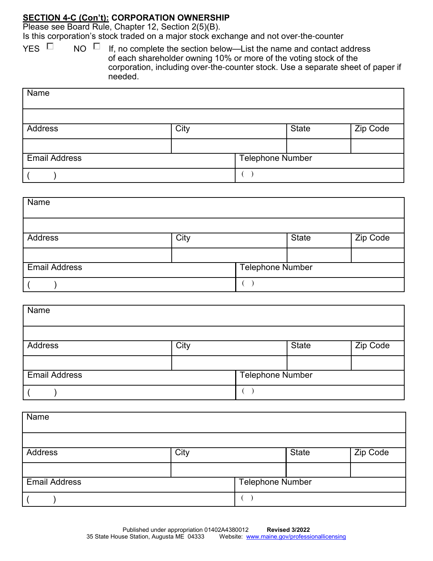#### **SECTION 4-C (Con't): CORPORATION OWNERSHIP**

Please see Board Rule, Chapter 12, Section 2(5)(B).

Is this corporation's stock traded on a major stock exchange and not over-the-counter

YES  $\Box$  NO  $\Box$  If, no complete the section below—List the name and contact address of each shareholder owning 10% or more of the voting stock of the corporation, including over-the-counter stock. Use a separate sheet of paper if needed.

| Name                 |      |                         |              |          |
|----------------------|------|-------------------------|--------------|----------|
|                      |      |                         |              |          |
| Address              | City |                         | <b>State</b> | Zip Code |
|                      |      |                         |              |          |
| <b>Email Address</b> |      | <b>Telephone Number</b> |              |          |
|                      |      |                         |              |          |

| Name                 |      |                         |              |          |
|----------------------|------|-------------------------|--------------|----------|
|                      |      |                         |              |          |
| Address              | City |                         | <b>State</b> | Zip Code |
|                      |      |                         |              |          |
| <b>Email Address</b> |      | <b>Telephone Number</b> |              |          |
|                      |      |                         |              |          |

| Name                 |      |                         |              |          |
|----------------------|------|-------------------------|--------------|----------|
|                      |      |                         |              |          |
| <b>Address</b>       | City |                         | <b>State</b> | Zip Code |
|                      |      |                         |              |          |
| <b>Email Address</b> |      | <b>Telephone Number</b> |              |          |
|                      |      |                         |              |          |

| Name                 |      |                         |              |          |
|----------------------|------|-------------------------|--------------|----------|
|                      |      |                         |              |          |
| Address              | City |                         | <b>State</b> | Zip Code |
|                      |      |                         |              |          |
| <b>Email Address</b> |      | <b>Telephone Number</b> |              |          |
|                      |      |                         |              |          |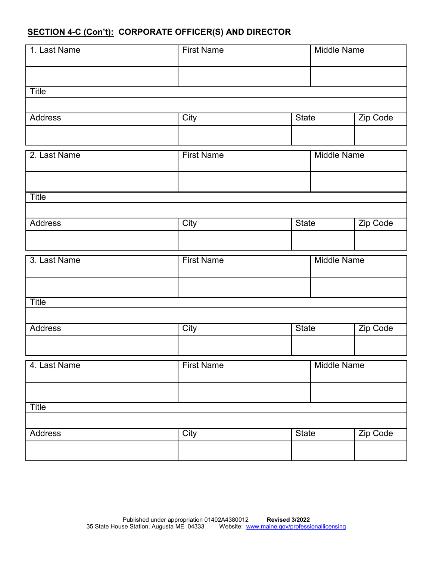#### **SECTION 4-C (Con't): CORPORATE OFFICER(S) AND DIRECTOR**

| 1. Last Name   | <b>First Name</b> |              | <b>Middle Name</b> |          |
|----------------|-------------------|--------------|--------------------|----------|
|                |                   |              |                    |          |
|                |                   |              |                    |          |
| Title          |                   |              |                    |          |
|                |                   |              |                    |          |
| <b>Address</b> | City              | <b>State</b> |                    | Zip Code |
|                |                   |              |                    |          |
|                |                   |              |                    |          |
| 2. Last Name   | <b>First Name</b> |              | <b>Middle Name</b> |          |
|                |                   |              |                    |          |
|                |                   |              |                    |          |
|                |                   |              |                    |          |
| <b>Title</b>   |                   |              |                    |          |
|                |                   |              |                    |          |
| <b>Address</b> | City              | <b>State</b> |                    | Zip Code |
|                |                   |              |                    |          |
|                |                   |              |                    |          |
| 3. Last Name   | <b>First Name</b> |              | <b>Middle Name</b> |          |
|                |                   |              |                    |          |
|                |                   |              |                    |          |
| Title          |                   |              |                    |          |
|                |                   |              |                    |          |
| <b>Address</b> | City              | <b>State</b> |                    | Zip Code |
|                |                   |              |                    |          |
|                |                   |              |                    |          |
| 4. Last Name   | <b>First Name</b> |              | <b>Middle Name</b> |          |
|                |                   |              |                    |          |
|                |                   |              |                    |          |
|                |                   |              |                    |          |
| <b>Title</b>   |                   |              |                    |          |
|                |                   |              |                    |          |

| <b>Address</b> | City | <b>State</b> | Zip Code |
|----------------|------|--------------|----------|
|                |      |              |          |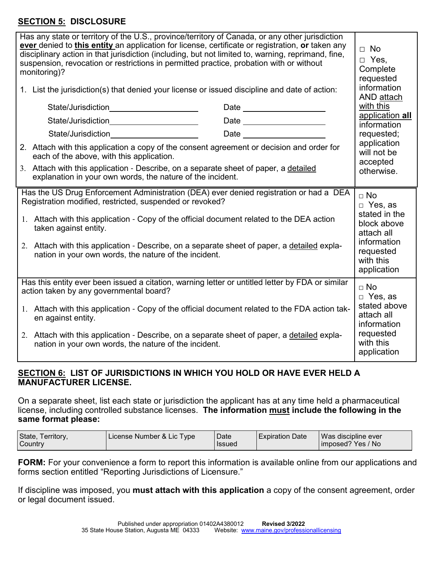#### **SECTION 5: DISCLOSURE**

| Has any state or territory of the U.S., province/territory of Canada, or any other jurisdiction<br>ever denied to this entity an application for license, certificate or registration, or taken any<br>disciplinary action in that jurisdiction (including, but not limited to, warning, reprimand, fine,<br>suspension, revocation or restrictions in permitted practice, probation with or without<br>monitoring)?<br>1. List the jurisdiction(s) that denied your license or issued discipline and date of action:<br>State/Jurisdiction_______________________<br>Date _____________________<br>State/Jurisdiction______________________<br>Date ______________________<br>State/Jurisdiction______________________ | $\Box$ No<br>$\Box$ Yes.<br>Complete<br>requested<br>information<br>AND attach<br>with this<br>application all<br>information<br>requested;<br>application |
|-------------------------------------------------------------------------------------------------------------------------------------------------------------------------------------------------------------------------------------------------------------------------------------------------------------------------------------------------------------------------------------------------------------------------------------------------------------------------------------------------------------------------------------------------------------------------------------------------------------------------------------------------------------------------------------------------------------------------|------------------------------------------------------------------------------------------------------------------------------------------------------------|
| 2. Attach with this application a copy of the consent agreement or decision and order for<br>each of the above, with this application.                                                                                                                                                                                                                                                                                                                                                                                                                                                                                                                                                                                  | will not be<br>accepted                                                                                                                                    |
| 3. Attach with this application - Describe, on a separate sheet of paper, a detailed<br>explanation in your own words, the nature of the incident.                                                                                                                                                                                                                                                                                                                                                                                                                                                                                                                                                                      | otherwise.                                                                                                                                                 |
| Has the US Drug Enforcement Administration (DEA) ever denied registration or had a DEA<br>Registration modified, restricted, suspended or revoked?<br>1. Attach with this application - Copy of the official document related to the DEA action<br>taken against entity.<br>2. Attach with this application - Describe, on a separate sheet of paper, a detailed expla-<br>nation in your own words, the nature of the incident.                                                                                                                                                                                                                                                                                        | $\sqcap$ No<br>□ Yes, as<br>stated in the<br>block above<br>attach all<br>information<br>requested<br>with this                                            |
| Has this entity ever been issued a citation, warning letter or untitled letter by FDA or similar                                                                                                                                                                                                                                                                                                                                                                                                                                                                                                                                                                                                                        | application                                                                                                                                                |
| action taken by any governmental board?                                                                                                                                                                                                                                                                                                                                                                                                                                                                                                                                                                                                                                                                                 | $\sqcap$ No<br>$\Box$ Yes, as                                                                                                                              |
| 1. Attach with this application - Copy of the official document related to the FDA action tak-<br>en against entity.                                                                                                                                                                                                                                                                                                                                                                                                                                                                                                                                                                                                    | stated above<br>attach all<br>information                                                                                                                  |
| 2. Attach with this application - Describe, on a separate sheet of paper, a detailed expla-<br>nation in your own words, the nature of the incident.                                                                                                                                                                                                                                                                                                                                                                                                                                                                                                                                                                    | requested<br>with this<br>application                                                                                                                      |

#### **SECTION 6: LIST OF JURISDICTIONS IN WHICH YOU HOLD OR HAVE EVER HELD A MANUFACTURER LICENSE.**

On a separate sheet, list each state or jurisdiction the applicant has at any time held a pharmaceutical license, including controlled substance licenses. **The information must include the following in the same format please:**

| State, Territory,<br>Country | License Number & Lic Type | l Date<br>l Issued | $\blacksquare$ Expiration Date | Was discipline ever<br>imposed? Yes / No |
|------------------------------|---------------------------|--------------------|--------------------------------|------------------------------------------|
|                              |                           |                    |                                |                                          |

**FORM:** For your convenience a form to report this information is available online from our applications and forms section entitled "Reporting Jurisdictions of Licensure."

If discipline was imposed, you **must attach with this application** a copy of the consent agreement, order or legal document issued.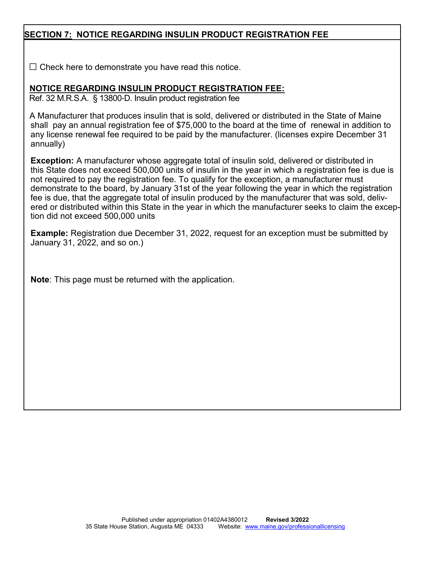#### **SECTION 7: NOTICE REGARDING INSULIN PRODUCT REGISTRATION FEE**

 $\square$  Check here to demonstrate you have read this notice.

#### **NOTICE REGARDING INSULIN PRODUCT REGISTRATION FEE:**

Ref. 32 M.R.S.A. § 13800-D. Insulin product registration fee

 A Manufacturer that produces insulin that is sold, delivered or distributed in the State of Maine shall pay an annual registration fee of \$75,000 to the board at the time of renewal in addition to any license renewal fee required to be paid by the manufacturer. (licenses expire December 31 annually)

**Exception:** A manufacturer whose aggregate total of insulin sold, delivered or distributed in this State does not exceed 500,000 units of insulin in the year in which a registration fee is due is not required to pay the registration fee. To qualify for the exception, a manufacturer must demonstrate to the board, by January 31st of the year following the year in which the registration fee is due, that the aggregate total of insulin produced by the manufacturer that was sold, delivered or distributed within this State in the year in which the manufacturer seeks to claim the exception did not exceed 500,000 units

**Example:** Registration due December 31, 2022, request for an exception must be submitted by January 31, 2022, and so on.)

**Note**: This page must be returned with the application.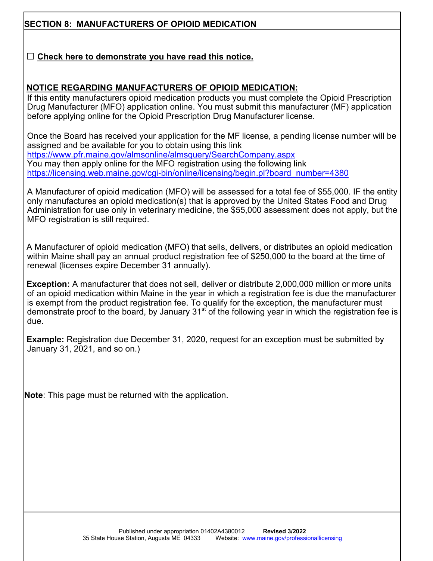#### **SECTION 8: MANUFACTURERS OF OPIOID MEDICATION**

#### □ **Check here to demonstrate you have read this notice.**

#### **NOTICE REGARDING MANUFACTURERS OF OPIOID MEDICATION:**

If this entity manufacturers opioid medication products you must complete the Opioid Prescription Drug Manufacturer (MFO) application online. You must submit this manufacturer (MF) application before applying online for the Opioid Prescription Drug Manufacturer license.

Once the Board has received your application for the MF license, a pending license number will be assigned and be available for you to obtain using this link https://www.pfr.maine.gov/almsonline/almsquery/SearchCompany.aspx You may then apply online for the MFO registration using the following link https://licensing.web.maine.gov/cgi-bin/online/licensing/begin.pl?board\_number=4380

A Manufacturer of opioid medication (MFO) will be assessed for a total fee of \$55,000. IF the entity only manufactures an opioid medication(s) that is approved by the United States Food and Drug Administration for use only in veterinary medicine, the \$55,000 assessment does not apply, but the MFO registration is still required.

 A Manufacturer of opioid medication (MFO) that sells, delivers, or distributes an opioid medication within Maine shall pay an annual product registration fee of \$250,000 to the board at the time of renewal (licenses expire December 31 annually).

 **Exception:** A manufacturer that does not sell, deliver or distribute 2,000,000 million or more units of an opioid medication within Maine in the year in which a registration fee is due the manufacturer is exempt from the product registration fee. To qualify for the exception, the manufacturer must demonstrate proof to the board, by January  $31<sup>st</sup>$  of the following year in which the registration fee is due.

**Example:** Registration due December 31, 2020, request for an exception must be submitted by January 31, 2021, and so on.)

**Note**: This page must be returned with the application.